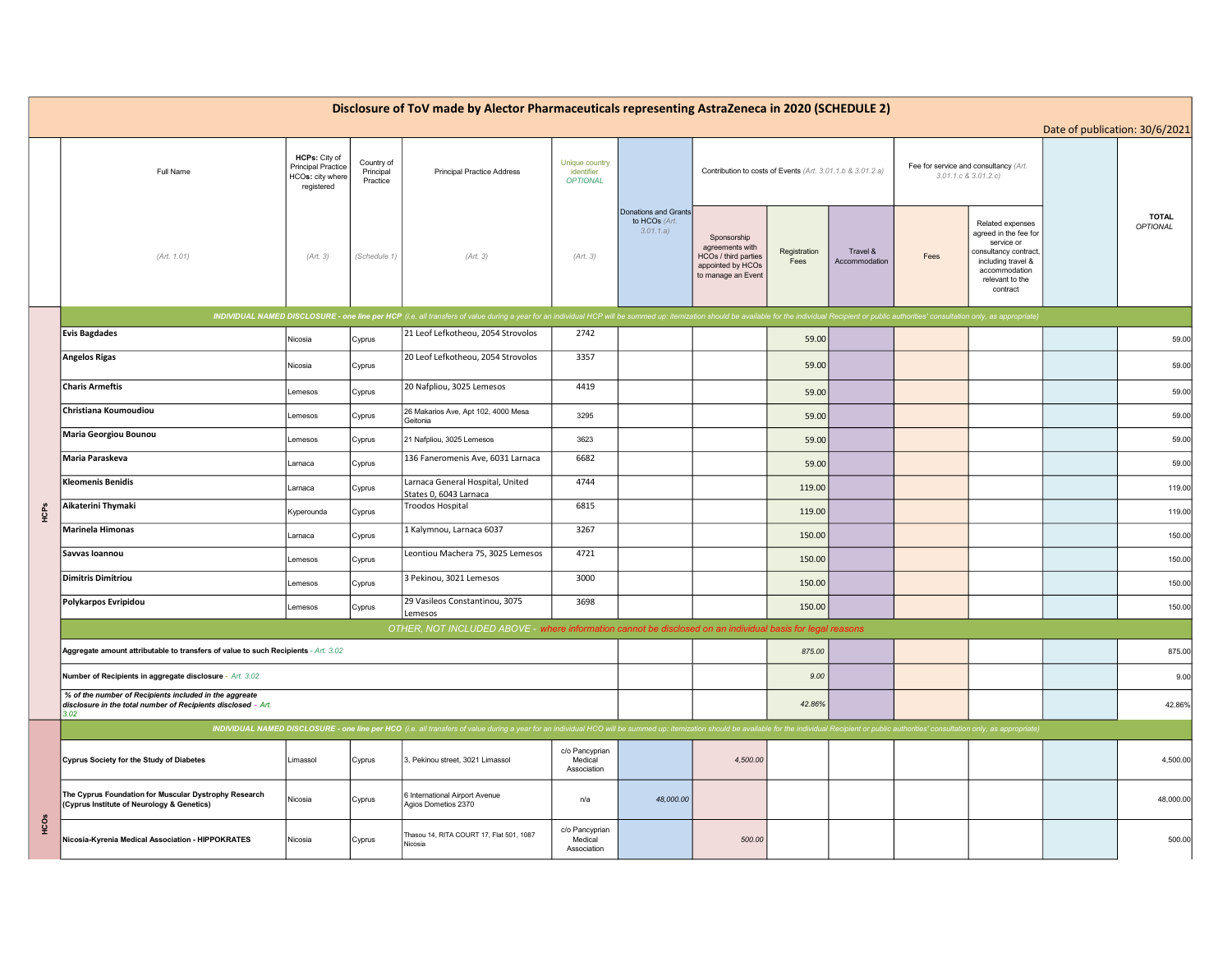| Disclosure of ToV made by Alector Pharmaceuticals representing AstraZeneca in 2020 (SCHEDULE 2)<br>Date of publication: 30/6/2021 |                                                                                                                                 |                                                                              |                                     |                                                                                                                                                                                                                                |                                                 |                                                    |                                                                                                          |                      |                           |                                                               |                                                                                                                                                        |                          |
|-----------------------------------------------------------------------------------------------------------------------------------|---------------------------------------------------------------------------------------------------------------------------------|------------------------------------------------------------------------------|-------------------------------------|--------------------------------------------------------------------------------------------------------------------------------------------------------------------------------------------------------------------------------|-------------------------------------------------|----------------------------------------------------|----------------------------------------------------------------------------------------------------------|----------------------|---------------------------|---------------------------------------------------------------|--------------------------------------------------------------------------------------------------------------------------------------------------------|--------------------------|
|                                                                                                                                   | Full Name                                                                                                                       | HCPs: City of<br><b>Principal Practice</b><br>HCOs: city where<br>registered | Country of<br>Principal<br>Practice | <b>Principal Practice Address</b>                                                                                                                                                                                              | Unique country<br>identifier<br><b>OPTIONAL</b> |                                                    | Contribution to costs of Events (Art. 3.01.1.b & 3.01.2.a)                                               |                      |                           | Fee for service and consultancy (Art.<br>3.01.1.c & 3.01.2.c) |                                                                                                                                                        |                          |
|                                                                                                                                   | (Art. 1.01)                                                                                                                     | (Art. 3)                                                                     | (Schedule 1)                        | (Art. 3)                                                                                                                                                                                                                       | (Art. 3)                                        | Donations and Grants<br>to HCOs (Art.<br>3.01.1.a) | Sponsorship<br>agreements with<br><b>HCOs / third parties</b><br>appointed by HCOs<br>to manage an Event | Registration<br>Fees | Travel &<br>Accommodation | Fees                                                          | Related expenses<br>agreed in the fee for<br>service or<br>consultancy contract,<br>including travel &<br>accommodation<br>relevant to the<br>contract | <b>TOTAL</b><br>OPTIONAL |
|                                                                                                                                   |                                                                                                                                 |                                                                              |                                     | INDIVIDUAL NAMED DISCLOSURE - one line per HCP (i.e. all transfers of value during a year for an individual HCP will be summed up: itemization should be available for the individual Recipient or public authorities' consult |                                                 |                                                    |                                                                                                          |                      |                           |                                                               |                                                                                                                                                        |                          |
|                                                                                                                                   | <b>Evis Bagdades</b>                                                                                                            | Nicosia                                                                      | Cyprus                              | 21 Leof Lefkotheou, 2054 Strovolos                                                                                                                                                                                             | 2742                                            |                                                    |                                                                                                          | 59.00                |                           |                                                               |                                                                                                                                                        | 59.00                    |
|                                                                                                                                   | <b>Angelos Rigas</b>                                                                                                            | Nicosia                                                                      | Cyprus                              | 20 Leof Lefkotheou, 2054 Strovolos                                                                                                                                                                                             | 3357                                            |                                                    |                                                                                                          | 59.00                |                           |                                                               |                                                                                                                                                        | 59.00                    |
|                                                                                                                                   | <b>Charis Armeftis</b>                                                                                                          | Lemesos                                                                      | Cyprus                              | 20 Nafpliou, 3025 Lemesos                                                                                                                                                                                                      | 4419                                            |                                                    |                                                                                                          | 59.00                |                           |                                                               |                                                                                                                                                        | 59.00                    |
|                                                                                                                                   | Christiana Koumoudiou                                                                                                           | Lemesos                                                                      | Cyprus                              | 26 Makarios Ave, Apt 102, 4000 Mesa<br>Geitonia                                                                                                                                                                                | 3295                                            |                                                    |                                                                                                          | 59.00                |                           |                                                               |                                                                                                                                                        | 59.00                    |
| HCPS                                                                                                                              | <b>Maria Georgiou Bounou</b>                                                                                                    | Lemesos                                                                      | Cyprus                              | 21 Nafpliou, 3025 Lemesos                                                                                                                                                                                                      | 3623                                            |                                                    |                                                                                                          | 59.00                |                           |                                                               |                                                                                                                                                        | 59.00                    |
|                                                                                                                                   | Maria Paraskeva                                                                                                                 | Larnaca                                                                      | Cyprus                              | 136 Faneromenis Ave, 6031 Larnaca                                                                                                                                                                                              | 6682                                            |                                                    |                                                                                                          | 59.00                |                           |                                                               |                                                                                                                                                        | 59.00                    |
|                                                                                                                                   | <b>Kleomenis Benidis</b>                                                                                                        | Larnaca                                                                      | Cyprus                              | Larnaca General Hospital, United<br>States 0, 6043 Larnaca                                                                                                                                                                     | 4744                                            |                                                    |                                                                                                          | 119.00               |                           |                                                               |                                                                                                                                                        | 119.00                   |
|                                                                                                                                   | Aikaterini Thymaki                                                                                                              | Kyperounda                                                                   | Cyprus                              | Troodos Hospital                                                                                                                                                                                                               | 6815                                            |                                                    |                                                                                                          | 119.00               |                           |                                                               |                                                                                                                                                        | 119.00                   |
|                                                                                                                                   | <b>Marinela Himonas</b>                                                                                                         | Larnaca                                                                      | Cyprus                              | 1 Kalymnou, Larnaca 6037                                                                                                                                                                                                       | 3267                                            |                                                    |                                                                                                          | 150.00               |                           |                                                               |                                                                                                                                                        | 150.00                   |
|                                                                                                                                   | Savvas Ioannou                                                                                                                  | Lemesos                                                                      | Cyprus                              | Leontiou Machera 75, 3025 Lemesos                                                                                                                                                                                              | 4721                                            |                                                    |                                                                                                          | 150.00               |                           |                                                               |                                                                                                                                                        | 150.00                   |
|                                                                                                                                   | <b>Dimitris Dimitriou</b>                                                                                                       | emesos                                                                       | Cyprus                              | 3 Pekinou, 3021 Lemesos                                                                                                                                                                                                        | 3000                                            |                                                    |                                                                                                          | 150.00               |                           |                                                               |                                                                                                                                                        | 150.00                   |
|                                                                                                                                   | Polykarpos Evripidou                                                                                                            | Lemesos                                                                      | Cyprus                              | 29 Vasileos Constantinou, 3075<br>Lemesos                                                                                                                                                                                      | 3698                                            |                                                    |                                                                                                          | 150.00               |                           |                                                               |                                                                                                                                                        | 150.00                   |
|                                                                                                                                   |                                                                                                                                 |                                                                              |                                     | OTHER, NOT INCLUDED ABOVE - where information cannot be disclosed on an individual basis for legal reasons                                                                                                                     |                                                 |                                                    |                                                                                                          |                      |                           |                                                               |                                                                                                                                                        |                          |
|                                                                                                                                   | Aggregate amount attributable to transfers of value to such Recipients - Art. 3.02                                              |                                                                              |                                     |                                                                                                                                                                                                                                |                                                 |                                                    |                                                                                                          | 875.00               |                           |                                                               |                                                                                                                                                        | 875.00                   |
|                                                                                                                                   | Number of Recipients in aggregate disclosure - Art. 3.02                                                                        |                                                                              |                                     |                                                                                                                                                                                                                                |                                                 |                                                    |                                                                                                          | 9.00                 |                           |                                                               |                                                                                                                                                        | 9.00                     |
|                                                                                                                                   | % of the number of Recipients included in the aggreate<br>disclosure in the total number of Recipients disclosed - Art.<br>3.02 |                                                                              |                                     |                                                                                                                                                                                                                                |                                                 |                                                    |                                                                                                          | 42.86%               |                           |                                                               |                                                                                                                                                        | 42.86%                   |
|                                                                                                                                   |                                                                                                                                 |                                                                              |                                     | INDIVIDUAL NAMED DISCLOSURE - one line per HCO (i.e. all transfers of value during a year for an individual HCO will be summed up: itemization should be available for the individual Recipient or public authorities' consult |                                                 |                                                    |                                                                                                          |                      |                           |                                                               |                                                                                                                                                        |                          |
| нcos                                                                                                                              | Cyprus Society for the Study of Diabetes                                                                                        | Limassol                                                                     | Cyprus                              | 3, Pekinou street, 3021 Limassol                                                                                                                                                                                               | c/o Pancyprian<br>Medical<br>Association        |                                                    | 4,500.00                                                                                                 |                      |                           |                                                               |                                                                                                                                                        | 4,500.00                 |
|                                                                                                                                   | The Cyprus Foundation for Muscular Dystrophy Research<br>(Cyprus Institute of Neurology & Genetics)                             | Nicosia                                                                      | Cyprus                              | 6 International Airport Avenue<br>Agios Dometios 2370                                                                                                                                                                          | n/a                                             | 48,000.00                                          |                                                                                                          |                      |                           |                                                               |                                                                                                                                                        | 48,000.00                |
|                                                                                                                                   | Nicosia-Kyrenia Medical Association - HIPPOKRATES                                                                               | Nicosia                                                                      | Cyprus                              | Thasou 14, RITA COURT 17, Flat 501, 1087<br>Nicosia                                                                                                                                                                            | c/o Pancyprian<br>Medical<br>Association        |                                                    | 500.00                                                                                                   |                      |                           |                                                               |                                                                                                                                                        | 500.00                   |